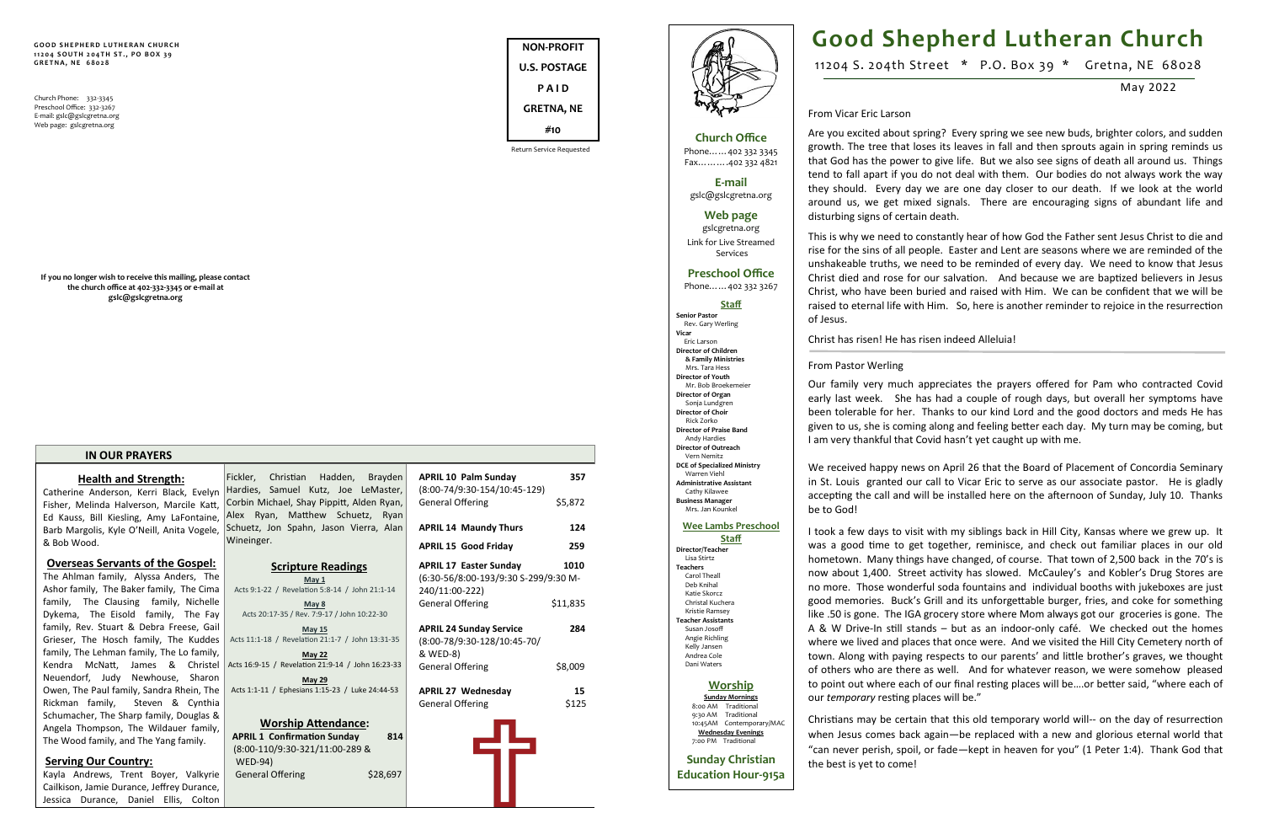**NON-PROFIT U.S. POSTAGE P A I D GRETNA, NE #10**





**GOOD SHEPHERD LUTHERAN CHURCH 1 1 2 0 4 S O U T H 2 0 4 T H S T . , P O B O X 3 9 G R E T N A , N E 6 8 0 2 8**

Church Phone: 332-3345 Preschool Office: 332-3267 E-mail: gslc@gslcgretna.org Web page: gslcgretna.org

**If you no longer wish to receive this mailing, please contact the church office at 402-332-3345 or e-mail at gslc@gslcgretna.org**

### **IN OUR PRAYERS**

**Health and Strength:** Catherine Anderson, Kerri Black, Evelyn Fisher, Melinda Halverson, Marcile Katt, Ed Kauss, Bill Kiesling, Amy LaFontaine, Barb Margolis, Kyle O'Neill, Anita Vogele, & Bob Wood.

**Overseas Servants of the Gospel:** The Ahlman family, Alyssa Anders, The Ashor family, The Baker family, The Cima family, The Clausing family, Nichelle Dykema, The Eisold family, The Fay family, Rev. Stuart & Debra Freese, Gail Grieser, The Hosch family, The Kuddes family, The Lehman family, The Lo family, Kendra McNatt, James & Christel Neuendorf, Judy Newhouse, Sharon Owen, The Paul family, Sandra Rhein, The Rickman family, Steven & Cynthia Schumacher, The Sharp family, Douglas & Angela Thompson, The Wildauer family, The Wood family, and The Yang family.

> WED-94) General Offering

### **Serving Our Country:**

Kayla Andrews, Trent Boyer, Valkyrie Cailkison, Jamie Durance, Jeffrey Durance, Jessica Durance, Daniel Ellis, Colton

|   | Fickler, Christian Hadden, Brayden<br>Hardies, Samuel Kutz, Joe LeMaster,     | 357<br><b>APRIL 10 Palm Sunday</b><br>$(8:00-74/9:30-154/10:45-129)$ |
|---|-------------------------------------------------------------------------------|----------------------------------------------------------------------|
|   | Corbin Michael, Shay Pippitt, Alden Ryan,<br>Alex Ryan, Matthew Schuetz, Ryan | \$5,872<br><b>General Offering</b>                                   |
|   | Schuetz, Jon Spahn, Jason Vierra, Alan                                        | 124<br><b>APRIL 14 Maundy Thurs</b>                                  |
|   | Wineinger.                                                                    | 259<br><b>APRIL 15 Good Friday</b>                                   |
|   | <b>Scripture Readings</b>                                                     | 1010<br><b>APRIL 17 Easter Sunday</b>                                |
|   | May <sub>1</sub>                                                              | (6:30-56/8:00-193/9:30 S-299/9:30 M-                                 |
|   | Acts 9:1-22 / Revelation 5:8-14 / John 21:1-14                                | 240/11:00-222)                                                       |
|   | May 8                                                                         | \$11,835<br>General Offering                                         |
|   | Acts 20:17-35 / Rev. 7:9-17 / John 10:22-30                                   |                                                                      |
|   | <b>May 15</b>                                                                 | 284<br><b>APRIL 24 Sunday Service</b>                                |
|   | Acts 11:1-18 / Revelation 21:1-7 / John 13:31-35                              | (8:00-78/9:30-128/10:45-70/                                          |
|   | <b>May 22</b>                                                                 | & WED-8)                                                             |
|   | Acts 16:9-15 / Revelation 21:9-14 / John 16:23-33                             | General Offering<br>\$8,009                                          |
|   | May 29                                                                        |                                                                      |
|   | Acts 1:1-11 / Ephesians 1:15-23 / Luke 24:44-53                               | 15<br><b>APRIL 27 Wednesday</b>                                      |
|   |                                                                               | \$125<br>General Offering                                            |
|   |                                                                               |                                                                      |
| , | <b>Worship Attendance:</b>                                                    |                                                                      |
|   | <b>APRIL 1 Confirmation Sunday</b><br>814                                     |                                                                      |
|   | (8:00-110/9:30-321/11:00-289 &                                                |                                                                      |

|                                           | <b>APRIL 15 Good Friday</b>                                               | 259         |
|-------------------------------------------|---------------------------------------------------------------------------|-------------|
| <u>lings</u>                              | <b>APRIL 17 Easter Sunday</b><br>(6:30-56/8:00-193/9:30 S-299/9:30 M-     | 1010        |
| / John 21:1-14                            | 240/11:00-222)                                                            |             |
| ohn 10:22-30                              | <b>General Offering</b>                                                   | \$11,835    |
| / John 13:31-35                           | <b>APRIL 24 Sunday Service</b><br>(8:00-78/9:30-128/10:45-70/<br>& WED-8) | 284         |
| / John 16:23-33                           | <b>General Offering</b>                                                   | \$8,009     |
| Luke 24:44-53                             | <b>APRIL 27 Wednesday</b><br><b>General Offering</b>                      | 15<br>\$125 |
| ance:<br>day<br>814<br>-289 &<br>\$28,697 |                                                                           |             |

**Church Office** Phone……402 332 3345 Fax……….402 332 4821

**E-mail** gslc@gslcgretna.org

#### **Web page**

gslcgretna.org Link for Live Streamed Services

## **Preschool Office**

Phone……402 332 3267

### **Staff**

**Senior Pastor** Rev. Gary Werling **Vicar** Eric Larson **Director of Children & Family Ministries**  Mrs. Tara Hess **Director of Youth**  Mr. Bob Broekemeier **Director of Organ**  Sonja Lundgren **Director of Choir** Rick Zorko **Director of Praise Band** Andy Hardies **Director of Outreach** Vern Nemitz **DCE of Specialized Ministry** Warren Viehl **Administrative Assistant** Cathy Kilawee **Business Manager** Mrs. Jan Kounkel **Wee Lambs Preschool** 

# **Staff**

**Director/Teacher** Lisa Stirtz **Teachers**  Carol Theall Deb Knihal Katie Skorcz Christal Kuchera Kristie Ramsey **Teacher Assistants** Susan Josoff Angie Richling Kelly Jansen Andrea Cole Dani Waters

### **Worship**

**Sunday Mornings** 8:00 AM Traditional 9:30 AM Traditional 10:45AM Contemporary/MA **Wednesday Evenings** 7:00 PM Traditional

**Sunday Christian Education Hour-915a**

# **Good Shepherd Lutheran Church**

11204 S. 204th Street \* P.O. Box 39 \* Gretna, NE 68028

May 2022

From Vicar Eric Larson

Are you excited about spring? Every spring we see new buds, brighter colors, and sudden growth. The tree that loses its leaves in fall and then sprouts again in spring reminds us that God has the power to give life. But we also see signs of death all around us. Things tend to fall apart if you do not deal with them. Our bodies do not always work the way they should. Every day we are one day closer to our death. If we look at the world around us, we get mixed signals. There are encouraging signs of abundant life and disturbing signs of certain death.

This is why we need to constantly hear of how God the Father sent Jesus Christ to die and rise for the sins of all people. Easter and Lent are seasons where we are reminded of the unshakeable truths, we need to be reminded of every day. We need to know that Jesus Christ died and rose for our salvation. And because we are baptized believers in Jesus Christ, who have been buried and raised with Him. We can be confident that we will be raised to eternal life with Him. So, here is another reminder to rejoice in the resurrection

of Jesus.

### Christ has risen! He has risen indeed Alleluia!

From Pastor Werling Our family very much appreciates the prayers offered for Pam who contracted Covid early last week. She has had a couple of rough days, but overall her symptoms have been tolerable for her. Thanks to our kind Lord and the good doctors and meds He has given to us, she is coming along and feeling better each day. My turn may be coming, but I am very thankful that Covid hasn't yet caught up with me.

We received happy news on April 26 that the Board of Placement of Concordia Seminary in St. Louis granted our call to Vicar Eric to serve as our associate pastor. He is gladly accepting the call and will be installed here on the afternoon of Sunday, July 10. Thanks be to God!

I took a few days to visit with my siblings back in Hill City, Kansas where we grew up. It was a good time to get together, reminisce, and check out familiar places in our old hometown. Many things have changed, of course. That town of 2,500 back in the 70's is now about 1,400. Street activity has slowed. McCauley's and Kobler's Drug Stores are no more. Those wonderful soda fountains and individual booths with jukeboxes are just good memories. Buck's Grill and its unforgettable burger, fries, and coke for something like .50 is gone. The IGA grocery store where Mom always got our groceries is gone. The A & W Drive-In still stands – but as an indoor-only café. We checked out the homes where we lived and places that once were. And we visited the Hill City Cemetery north of town. Along with paying respects to our parents' and little brother's graves, we thought of others who are there as well. And for whatever reason, we were somehow pleased to point out where each of our final resting places will be….or better said, "where each of our *temporary* resting places will be."

Christians may be certain that this old temporary world will-- on the day of resurrection when Jesus comes back again—be replaced with a new and glorious eternal world that "can never perish, spoil, or fade—kept in heaven for you" (1 Peter 1:4). Thank God that the best is yet to come!